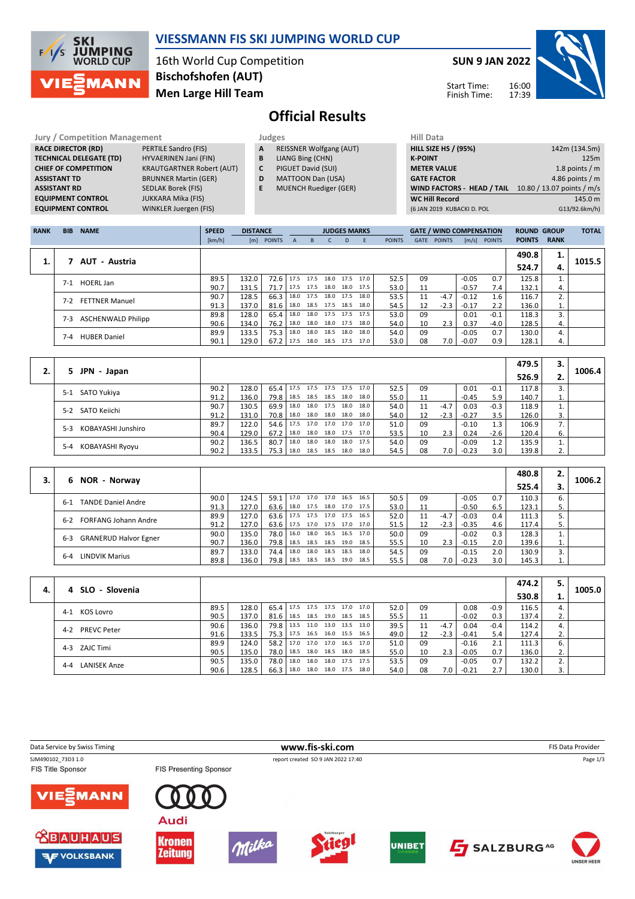

### VIESSMANN FIS SKI JUMPING WORLD CUP

16th World Cup Competition Men Large Hill Team Bischofshofen (AUT)

SUN 9 JAN 2022



Start Time: Finish Time:

# Official Results

| Jury / Competition Management  |                              |
|--------------------------------|------------------------------|
| <b>RACE DIRECTOR (RD)</b>      | PERTILE Sandro (FIS)         |
| <b>TECHNICAL DELEGATE (TD)</b> | HYVAERINEN Jani (FIN)        |
| <b>CHIEF OF COMPETITION</b>    | <b>KRAUTGARTNER Rober</b>    |
| <b>ASSISTANT TD</b>            | <b>BRUNNER Martin (GER</b>   |
| <b>ASSISTANT RD</b>            | <b>SEDLAK Borek (FIS)</b>    |
| <b>EQUIPMENT CONTROL</b>       | <b>JUKKARA Mika (FIS)</b>    |
| <b>EQUIPMENT CONTROL</b>       | <b>WINKLER Juergen (FIS)</b> |

Jury / Competition Management Judges Hill Data ERINEN Jani (FIN) **TGARTNER Robert (AUT) INER Martin (GER)** AK Borek (FIS) a<br>ARA Mika (FIS)

- 
- A REISSNER Wolfgang (AUT)
- **B** LIANG Bing (CHN)<br>**C** PIGUET David (SU PIGUET David (SUI)
- D MATTOON Dan (USA)
- E MUENCH Ruediger (GER)

| .                           |                            |
|-----------------------------|----------------------------|
| <b>HILL SIZE HS / (95%)</b> | 142m (134.5m)              |
| <b>K-POINT</b>              | 125m                       |
| <b>METER VALUE</b>          | 1.8 points $/m$            |
| <b>GATE FACTOR</b>          | 4.86 points $/m$           |
| WIND FACTORS - HEAD / TAIL  | 10.80 / 13.07 points / m/s |
| <b>WC Hill Record</b>       | 145.0 m                    |
| (6 JAN 2019 KUBACKI D. POL  | G13/92.6km/h)              |
|                             |                            |

| <b>RANK</b> | <b>BIB</b> | <b>NAME</b>               | <b>SPEED</b> | <b>DISTANCE</b> |               |      |      | <b>JUDGES MARKS</b> |      |      |               |             |               | <b>GATE / WIND COMPENSATION</b> |               | <b>ROUND GROUP</b> |             | <b>TOTAL</b> |
|-------------|------------|---------------------------|--------------|-----------------|---------------|------|------|---------------------|------|------|---------------|-------------|---------------|---------------------------------|---------------|--------------------|-------------|--------------|
|             |            |                           | [km/h]       | [m]             | <b>POINTS</b> | A    | B    |                     | D    | F    | <b>POINTS</b> | <b>GATE</b> | <b>POINTS</b> |                                 | [m/s] POINTS  | <b>POINTS</b>      | <b>RANK</b> |              |
|             |            | AUT - Austria             |              |                 |               |      |      |                     |      |      |               |             |               |                                 |               | 490.8              | 1.          | 1015.5       |
|             |            |                           |              |                 |               |      |      |                     |      |      |               |             |               |                                 |               | 524.7              | 4.          |              |
|             | $7-1$      | HOERL Jan                 | 89.5         | 132.0           | 72.6          | 17.5 | 17.5 | 18.0                | 17.5 | 17.0 | 52.5          | 09          |               | $-0.05$                         | 0.7           | 125.8              |             |              |
|             |            |                           | 90.7         | 131.5           | 71.7          | 17.5 | 17.5 | 18.0                | 18.0 | 17.5 | 53.0          | 11          |               | $-0.57$                         | 7.4           | 132.1              | 4.          |              |
|             | $7-2$      | <b>FETTNER Manuel</b>     | 90.7         | 128.5           | 66.3          | 18.0 | 17.5 | 18.0                | 17.5 | 18.0 | 53.5          | 11          | $-4.7$        | $-0.12$                         | $1.6^{\circ}$ | 116.7              | C.          |              |
|             |            |                           | 91.3         | 137.0           | 81.6          | 18.0 |      | 18.5 17.5 18.5      |      | 18.0 | 54.5          | 12          | $-2.3$        | $-0.17$                         | $2.2^{\circ}$ | 136.0              | ī.          |              |
|             | $7-3$      | <b>ASCHENWALD Philipp</b> | 89.8         | 128.0           | 65.4          | 18.0 | 18.0 | 17.5                | 17.5 | 17.5 | 53.0          | 09          |               | 0.01                            | $-0.1$        | 118.3              | 3.          |              |
|             |            |                           | 90.6         | 134.0           | 76.2          | 18.0 |      | 18.0 18.0 17.5      |      | 18.0 | 54.0          | 10          | 2.3           | 0.37                            | -4.0          | 128.5              | 4.          |              |
|             | $7 - 4$    | <b>HUBER Daniel</b>       | 89.9         | 133.5           | 75.3          | 18.0 | 18.0 | 18.5                | 18.0 | 18.0 | 54.0          | 09          |               | $-0.05$                         | 0.7           | 130.0              | 4.          |              |
|             |            |                           | 90.1         | 129.0           | 67.2          | 17.5 | 18.0 | 18.5                | 17.5 | 17.0 | 53.0          | 08          | 7.0           | $-0.07$                         | 0.9           | 128.1              | 4.          |              |

|    |                             |      |       |        |      |      |                |                     |      |      |    |        |         |        | 479.5 | 3. | 1006.4 |
|----|-----------------------------|------|-------|--------|------|------|----------------|---------------------|------|------|----|--------|---------|--------|-------|----|--------|
| 2. | 5 JPN - Japan               |      |       |        |      |      |                |                     |      |      |    |        |         |        | 526.9 | Ζ. |        |
|    | 5-1 SATO Yukiya             | 90.2 | 128.0 | 65.4   | 17.5 |      | 17.5 17.5 17.5 |                     | 17.0 | 52.5 | 09 |        | 0.01    | $-0.1$ | 117.8 |    |        |
|    |                             | 91.2 | 136.0 | 79.8 l | 18.5 |      |                | 18.5 18.5 18.0      | 18.0 | 55.0 | 11 |        | $-0.45$ | 5.9    | 140.7 |    |        |
|    | 5-2 SATO Keiichi            | 90.7 | 130.5 | 69.9   | 18.0 |      | 18.0 17.5 18.0 |                     | 18.0 | 54.0 | 11 | $-4.7$ | 0.03    | $-0.3$ | 118.9 |    |        |
|    |                             | 91.2 | 131.0 | 70.8   | 18.0 |      | 18.0 18.0 18.0 |                     | 18.0 | 54.0 | 12 | $-2.3$ | $-0.27$ | 3.5    | 126.0 | 3. |        |
|    | KOBAYASHI Junshiro<br>$5-3$ | 89.7 | 122.0 | 54.6   | 17.5 |      |                | 17.0 17.0 17.0      | 17.0 | 51.0 | 09 |        | $-0.10$ |        | 106.9 | 7. |        |
|    |                             | 90.4 | 129.0 | 67.2   | 18.0 |      |                | 18.0 18.0 17.5 17.0 |      | 53.5 | 10 | 2.3    | 0.24    | $-2.6$ | 120.4 | 6. |        |
|    |                             | 90.2 | 136.5 | 80.7   | 18.0 | 18.0 | 18.0 18.0      |                     | 17.5 | 54.0 | 09 |        | $-0.09$ |        | 135.9 |    |        |
|    | KOBAYASHI Ryoyu<br>5-4      | 90.2 | 133.5 | 75.3 I | 18.0 |      | 18.5 18.5 18.0 |                     | 18.0 | 54.5 | 08 | 7.0 I  | $-0.23$ | 3.0    | 139.8 | 2. |        |

|                                         |      |       |      |      |      |                |      |      |      |    |        |         |     | 480.8 | 2.  |        |
|-----------------------------------------|------|-------|------|------|------|----------------|------|------|------|----|--------|---------|-----|-------|-----|--------|
| 6 NOR - Norway                          |      |       |      |      |      |                |      |      |      |    |        |         |     | 525.4 |     | 1006.2 |
| <b>TANDE Daniel Andre</b><br>$6-1$      | 90.0 | 124.5 | 59.1 | 17.0 |      | 17.0 17.0 16.5 |      | 16.5 | 50.5 | 09 |        | $-0.05$ | 0.7 | 110.3 | -6. |        |
|                                         | 91.3 | 127.0 | 63.6 | 18.0 |      | 17.5 18.0 17.0 |      | 17.5 | 53.0 |    |        | $-0.50$ | 6.5 | 123.1 | 5.  |        |
| <b>FORFANG Johann Andre</b><br>$6 - 2$  | 89.9 | 127.0 | 63.6 | 17.5 | 17.5 | 17.0 17.5      |      | 16.5 | 52.0 | 11 | $-4.7$ | $-0.03$ | 0.4 | 111.3 |     |        |
|                                         | 91.2 | 127.0 | 63.6 | 17.5 |      | 17.0 17.5 17.0 |      | 17.0 | 51.5 | 12 | $-2.3$ | $-0.35$ | 4.6 | 117.4 |     |        |
|                                         | 90.0 | 135.0 | 78.0 | 16.0 | 18.0 | 16.5           | 16.5 | 17.0 | 50.0 | 09 |        | $-0.02$ | 0.3 | 128.3 |     |        |
| <b>GRANERUD Halvor Egner</b><br>$6 - 3$ | 90.7 | 136.0 | 79.8 | 18.5 |      | 18.5 18.5 19.0 |      | 18.5 | 55.5 | 10 | 2.3    | $-0.15$ | 2.0 | 139.6 | 1.  |        |
| LINDVIK Marius<br>$6 - 4$               | 89.7 | 133.0 | 74.4 | 18.0 |      | 18.0 18.5 18.5 |      | 18.0 | 54.5 | 09 |        | $-0.15$ | 2.0 | 130.9 | 3.  |        |
|                                         | 89.8 | 136.0 | 79.8 | 18.5 | 18.5 | 18.5           | 19.0 | 18.5 | 55.5 | 08 | 7.0    | $-0.23$ | 3.0 | 145.3 | 1.  |        |

|    |                                |      |       |                            |                     |                |      |      |    |        |         |        | 474.2 | 5. | 1005.0 |
|----|--------------------------------|------|-------|----------------------------|---------------------|----------------|------|------|----|--------|---------|--------|-------|----|--------|
| 4. | 4 SLO - Slovenia               |      |       |                            |                     |                |      |      |    |        |         |        | 530.8 |    |        |
|    | 4-1 KOS Lovro                  | 89.5 | 128.0 | $65.4$   17.5              |                     | 17.5 17.5 17.0 | 17.0 | 52.0 | 09 |        | 0.08    | $-0.9$ | 116.5 | 4. |        |
|    |                                | 90.5 | 137.0 | 81.6                       | 18.5 18.5 19.0 18.5 |                | 18.5 | 55.5 | 11 |        | $-0.02$ | 0.3    | 137.4 | 2. |        |
|    | PREVC Peter<br>4-2             | 90.6 | 136.0 | 79.8   13.5 11.0 13.0 13.5 |                     |                | 13.0 | 39.5 | 11 | $-4.7$ | 0.04    | $-0.4$ | 114.2 | 4. |        |
|    |                                | 91.6 | 133.5 | 75.3                       | 17.5                | 16.5 16.0 15.5 | 16.5 | 49.0 | 12 | $-2.3$ | $-0.41$ | 5.4    | 127.4 | 2. |        |
|    | 4-3 ZAJC Timi                  | 89.9 | 124.0 | 58.2                       | 17.0                | 17.0 17.0 16.5 | 17.0 | 51.0 | 09 |        | $-0.16$ | 2.1    | 111.3 | 6. |        |
|    |                                | 90.5 | 135.0 | 78.0   18.5 18.0 18.5 18.0 |                     |                | 18.5 | 55.0 | 10 | 2.3    | $-0.05$ | 0.7    | 136.0 | 2. |        |
|    | <b>LANISEK Anze</b><br>$4 - 4$ | 90.5 | 135.0 | 78.0                       | 18.0                | 18.0 18.0 17.5 | 17.5 | 53.5 | 09 |        | $-0.05$ | 0.7    | 132.2 |    |        |
|    |                                | 90.6 | 128.5 | 66.3                       | 18.0 18.0 18.0 17.5 |                | 18.0 | 54.0 | 08 | 7.0    | $-0.21$ | 2.7    | 130.0 | 3. |        |

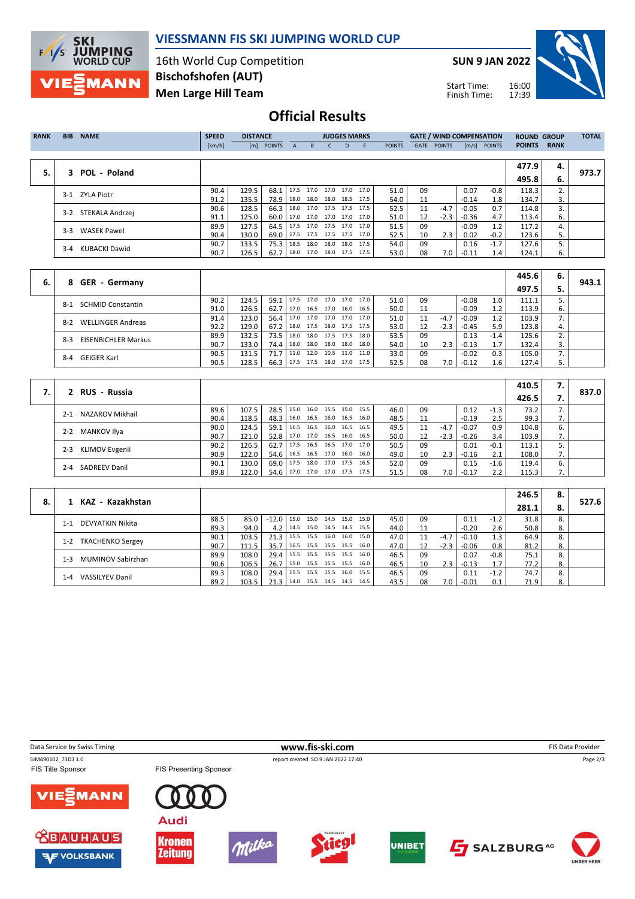

#### VIESSMANN FIS SKI JUMPING WORLD CUP

16th World Cup Competition Men Large Hill Team Bischofshofen (AUT)

SUN 9 JAN 2022

Start Time: Finish Time:



### Official Results

| <b>RANK</b> | <b>BIB</b> | <b>NAME</b>        | <b>SPEED</b> | <b>DISTANCE</b> |            |              |           | <b>JUDGES MARKS</b>      |   |     |               |      | <b>GATE / WIND COMPENSATION</b> |         |                | <b>ROUND GROUP</b> |             | <b>TOTAL</b> |
|-------------|------------|--------------------|--------------|-----------------|------------|--------------|-----------|--------------------------|---|-----|---------------|------|---------------------------------|---------|----------------|--------------------|-------------|--------------|
|             |            |                    | [km/h]       |                 | [m] POINTS | $\mathsf{A}$ | B.        |                          | D | - F | <b>POINTS</b> | GATE | <b>POINTS</b>                   |         | $[m/s]$ POINTS | <b>POINTS</b>      | <b>RANK</b> |              |
|             |            |                    |              |                 |            |              |           |                          |   |     |               |      |                                 |         |                |                    |             |              |
|             |            |                    |              |                 |            |              |           |                          |   |     |               |      |                                 |         |                | 477.9              | 4.          |              |
| 5.          |            | 3 POL - Poland     |              |                 |            |              |           |                          |   |     |               |      |                                 |         |                | 495.8              | 6.          | 973.7        |
|             | $3-1$      | <b>ZYLA Piotr</b>  | 90.4         | 129.5           | 68.1       |              | 17.5 17.0 | 17.0 17.0 17.0           |   |     | 51.0          | 09   |                                 | 0.07    | -0.8           | 118.3              |             |              |
|             |            |                    | 91.2         | 135.5           | 78.9       |              |           | 18.0 18.0 18.0 18.5 17.5 |   |     | 54.0          | 11   |                                 | $-0.14$ | 1.8            | 134.7              | 3.          |              |
|             | $3 - 2$    | STEKALA Andrzej    | 90.6         | 128.5           | 66.3       |              |           | 18.0 17.0 17.5 17.5 17.5 |   |     | 52.5          | 11   | $-4.7$                          | $-0.05$ | 0.7            | 114.8              | 3.          |              |
|             |            |                    | 91.1         | 125.0           | 60.0       |              |           | 17.0 17.0 17.0 17.0 17.0 |   |     | 51.0          | 12   | $-2.3$                          | $-0.36$ | 4.7            | 113.4              | 6.          |              |
|             |            | <b>WASEK Pawel</b> | 89.9         | 127.5           | 64.5       |              |           | 17.5 17.0 17.5 17.0 17.0 |   |     | 51.5          | 09   |                                 | $-0.09$ | 1.2            | 117.2              | 4.          |              |
|             | $3-3$      |                    | 90.4         | 130.0           | 69.0       | 17.5         |           | 17.5 17.5 17.5 17.0      |   |     | 52.5          | 10   | 2.3                             | 0.02    | $-0.2$         | 123.6              | 5.          |              |
|             | $3 - 4$    |                    | 90.7         | 133.5           | 75.3       | 18.5         |           | 18.0 18.0 18.0 17.5      |   |     | 54.0          | 09   |                                 | 0.16    | $-1.7$         | 127.6              |             |              |
|             |            | KUBACKI Dawid      | 90.7         | 126.5           | 62.7       |              |           | 18.0 17.0 18.0 17.5 17.5 |   |     | 53.0          | 08   | 7.0                             | $-0.11$ | $1.4^{\circ}$  | 124.1              | 6.          |              |
|             |            |                    |              |                 |            |              |           |                          |   |     |               |      |                                 |         |                |                    |             |              |

|    |                                     |      |       |      |           |                     |      |                |      |      |    |        |         |        | 445.6 | 6. |       |
|----|-------------------------------------|------|-------|------|-----------|---------------------|------|----------------|------|------|----|--------|---------|--------|-------|----|-------|
| 6. | <b>GER - Germany</b>                |      |       |      |           |                     |      |                |      |      |    |        |         |        | 497.5 |    | 943.1 |
|    | <b>SCHMID Constantin</b><br>$8 - 1$ | 90.2 | 124.5 | 59.1 | 17.5 17.0 |                     |      | 17.0 17.0 17.0 |      | 51.0 | 09 |        | $-0.08$ | 1.0    | 111.1 |    |       |
|    |                                     | 91.0 | 126.5 | 62.7 | 17.0      | 16.5 17.0 16.0 16.5 |      |                |      | 50.0 |    |        | $-0.09$ | 1.2    | 113.9 | ь. |       |
|    | <b>WELLINGER Andreas</b><br>$8-2$   | 91.4 | 123.0 | 56.4 | 17.0 17.0 |                     |      | 17.0 17.0 17.0 |      | 51.0 |    | $-4.7$ | $-0.09$ | 1.2    | 103.9 |    |       |
|    |                                     | 92.2 | 129.0 | 67.2 | 18.0 17.5 |                     |      | 18.0 17.5 17.5 |      | 53.0 |    | $-2.3$ | $-0.45$ | 5.9    | 123.8 | 4. |       |
|    | <b>EISENBICHLER Markus</b><br>$8-3$ | 89.9 | 132.5 | 73.5 | 18.0      | 18.0                |      | 17.5 17.5      | 18.0 | 53.5 | 09 |        | 0.13    | $-1.4$ | 125.6 |    |       |
|    |                                     | 90.7 | 133.0 | 74.4 | 18.0 18.0 |                     |      | 18.0 18.0 18.0 |      | 54.0 | 10 | 2.3    | $-0.13$ | 1.7    | 132.4 |    |       |
|    | GEIGER Karl<br>8-4                  | 90.5 | 131.5 | 71.7 | 11.0      | 12.0                | 10.5 | 11.0 11.0      |      | 33.0 | 09 |        | $-0.02$ | 0.3    | 105.0 |    |       |
|    |                                     | 90.5 | 128.5 | 66.3 | 17.5 17.5 |                     |      | 18.0 17.0 17.5 |      | 52.5 | 08 | 7.01   | $-0.12$ | 1.6    | 127.4 |    |       |

|                                  |      |       |      |                          |      |                          |      |      |    |        |         |        | 410.5 | 7.         |       |
|----------------------------------|------|-------|------|--------------------------|------|--------------------------|------|------|----|--------|---------|--------|-------|------------|-------|
| 2 RUS - Russia                   |      |       |      |                          |      |                          |      |      |    |        |         |        | 426.5 |            | 837.0 |
| NAZAROV Mikhail<br>$2 - 1$       | 89.6 | 107.5 | 28.5 | 15.0                     |      | 16.0 15.5 15.0           | 15.5 | 46.0 | 09 |        | 0.12    | $-1.3$ | 73.2  |            |       |
|                                  | 90.4 | 118.5 | 48.3 |                          |      | 16.0 16.5 16.0 16.5 16.0 |      | 48.5 | 11 |        | $-0.19$ | 2.5    | 99.3  | 7.         |       |
| MANKOV Ilya<br>$2 - 2$           | 90.0 | 124.5 | 59.1 | 16.5                     | 16.5 | 16.0 16.5                | 16.5 | 49.5 | 11 | $-4.7$ | $-0.07$ | 0.9    | 104.8 | 6.         |       |
|                                  | 90.7 | 121.0 | 52.8 | 17.0                     |      | 17.0 16.5 16.0 16.5      |      | 50.0 | 12 | $-2.3$ | $-0.26$ | 3.4    | 103.9 | 7.         |       |
| <b>KLIMOV Evgenii</b><br>$2 - 3$ | 90.2 | 126.5 | 62.7 | 17.5                     |      | 16.5 16.5 17.0           | 17.0 | 50.5 | 09 |        | 0.01    | $-0.1$ | 113.1 |            |       |
|                                  | 90.9 | 122.0 | 54.6 |                          |      | 16.5 16.5 17.0 16.0      | 16.0 | 49.0 | 10 | 2.3    | $-0.16$ | 2.1    | 108.0 | $\prime$ . |       |
|                                  | 90.1 | 130.0 | 69.0 | 17.5                     |      | 18.0 17.0 17.5 16.5      |      | 52.0 | 09 |        | 0.15    | $-1.6$ | 119.4 | 6.         |       |
| <b>SADREEV Danil</b><br>$2 - 4$  | 89.8 | 122.0 | 54.6 | 17.0 17.0 17.0 17.5 17.5 |      |                          |      | 51.5 | 08 | 7.0 l  | $-0.17$ | 2.2    | 115.3 |            |       |

|    | 1 KAZ - Kazakhstan                  |      |       |                               |      |                     |      |                          |      |      |    |        |         |        | 246.5 | 8.  |       |
|----|-------------------------------------|------|-------|-------------------------------|------|---------------------|------|--------------------------|------|------|----|--------|---------|--------|-------|-----|-------|
| 8. |                                     |      |       |                               |      |                     |      |                          |      |      |    |        |         |        | 281.1 | -8. | 527.6 |
|    | DEVYATKIN Nikita<br>1-1             | 88.5 | 85.0  | $-12.0$   15.0 15.0 14.5 15.0 |      |                     |      |                          | 15.0 | 45.0 | 09 |        | 0.11    | $-1.2$ | 31.8  |     |       |
|    |                                     | 89.3 | 94.0  | 4.2                           |      |                     |      | 14.5 15.0 14.5 14.5 15.5 |      | 44.0 | 11 |        | $-0.20$ | 2.6    | 50.8  |     |       |
|    | TKACHENKO Sergey<br>1-2             | 90.1 | 103.5 | 21.3                          | 15.5 | 15.5                | 16.0 | 16.0                     | 15.0 | 47.0 | 11 | $-4.7$ | $-0.10$ | 1.3    | 64.9  |     |       |
|    |                                     | 90.7 | 111.5 | 35.7                          |      |                     |      | 16.5 15.5 15.5 15.5 16.0 |      | 47.0 | 12 | $-2.3$ | $-0.06$ | 0.8    | 81.2  |     |       |
|    | <b>MUMINOV Sabirzhan</b><br>$1 - 3$ | 89.9 | 108.0 | 29.4                          |      |                     |      | 15.5 15.5 15.5 15.5 16.0 |      | 46.5 | 09 |        | 0.07    | $-0.8$ | 75.1  |     |       |
|    |                                     | 90.6 | 106.5 | 26.7                          | 15.0 | 15.5 15.5 15.5      |      |                          | 16.0 | 46.5 | 10 | 2.3    | $-0.13$ |        | 77.2  |     |       |
|    | <b>VASSILYEV Danil</b><br>1-4       | 89.3 | 108.0 | 29.4                          |      | 15.5 15.5 15.5 16.0 |      |                          | 15.5 | 46.5 | 09 |        | 0.11    | $-1.2$ | 74.7  |     |       |
|    |                                     | 89.2 | 103.5 | 21.3                          | 14.0 |                     |      | 15.5 14.5 14.5 14.5      |      | 43.5 | 08 | 7.0 I  | $-0.01$ | 0.1    | 71.9  |     |       |